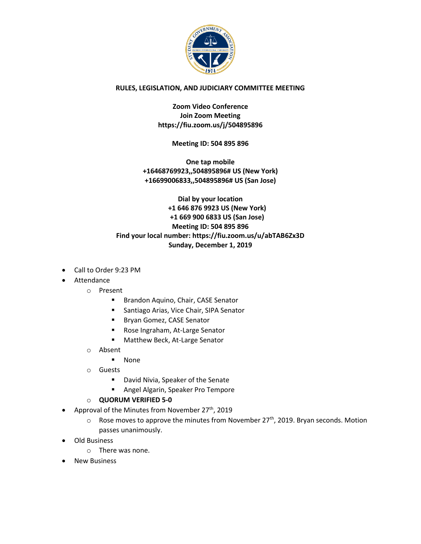

## **RULES, LEGISLATION, AND JUDICIARY COMMITTEE MEETING**

**Zoom Video Conference Join Zoom Meeting https://fiu.zoom.us/j/504895896**

**Meeting ID: 504 895 896**

**One tap mobile +16468769923,,504895896# US (New York) +16699006833,,504895896# US (San Jose)**

**Dial by your location +1 646 876 9923 US (New York) +1 669 900 6833 US (San Jose) Meeting ID: 504 895 896 Find your local number: https://fiu.zoom.us/u/abTAB6Zx3D Sunday, December 1, 2019**

- Call to Order 9:23 PM
- Attendance
	- o Present
		- Brandon Aquino, Chair, CASE Senator
		- Santiago Arias, Vice Chair, SIPA Senator
		- Bryan Gomez, CASE Senator
		- Rose Ingraham, At-Large Senator
		- Matthew Beck, At-Large Senator
	- o Absent
		- None
	- o Guests
		- David Nivia, Speaker of the Senate
		- Angel Algarin, Speaker Pro Tempore
	- o **QUORUM VERIFIED 5-0**
- Approval of the Minutes from November  $27<sup>th</sup>$ , 2019
	- $\circ$  Rose moves to approve the minutes from November 27<sup>th</sup>, 2019. Bryan seconds. Motion passes unanimously.
- Old Business
	- o There was none.
- New Business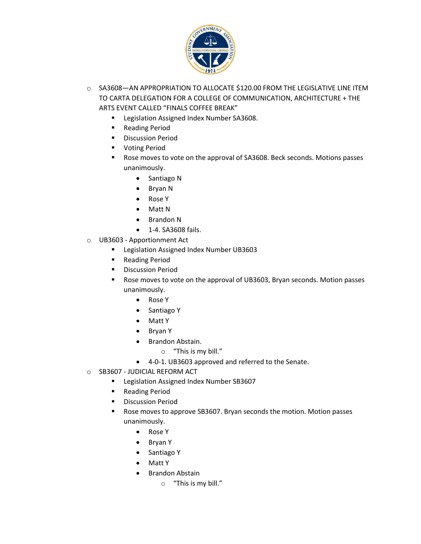

- o SA3608—AN APPROPRIATION TO ALLOCATE \$120.00 FROM THE LEGISLATIVE LINE ITEM TO CARTA DELEGATION FOR A COLLEGE OF COMMUNICATION, ARCHITECTURE + THE ARTS EVENT CALLED "FINALS COFFEE BREAK"
	- Legislation Assigned Index Number SA3608.
	- Reading Period
	- Discussion Period
	- Voting Period
	- Rose moves to vote on the approval of SA3608. Beck seconds. Motions passes unanimously.
		- Santiago N
		- Bryan N
		- Rose Y
		- Matt N
		- Brandon N
		- 1-4. SA3608 fails.
- o UB3603 Apportionment Act
	- Legislation Assigned Index Number UB3603
	- Reading Period
	- **■** Discussion Period
	- Rose moves to vote on the approval of UB3603, Bryan seconds. Motion passes unanimously.
		- Rose Y
		- Santiago Y
		- Matt Y
		- Bryan Y
		- Brandon Abstain.
			- o "This is my bill."
		- 4-0-1. UB3603 approved and referred to the Senate.
- o SB3607 JUDICIAL REFORM ACT
	- Legislation Assigned Index Number SB3607
	- Reading Period
	- **■** Discussion Period
	- Rose moves to approve SB3607. Bryan seconds the motion. Motion passes unanimously.
		- Rose Y
		- Bryan Y
		- Santiago Y
		- Matt Y
		- Brandon Abstain
			- o "This is my bill."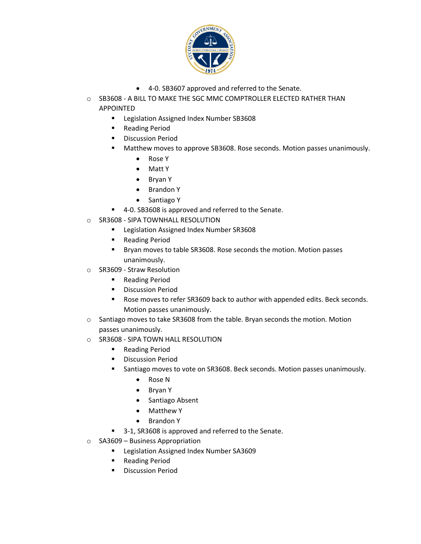

- 4-0. SB3607 approved and referred to the Senate.
- o SB3608 A BILL TO MAKE THE SGC MMC COMPTROLLER ELECTED RATHER THAN APPOINTED
	- Legislation Assigned Index Number SB3608
	- Reading Period
	- **■** Discussion Period
	- Matthew moves to approve SB3608. Rose seconds. Motion passes unanimously.
		- Rose Y
		- Matt Y
		- Bryan Y
		- Brandon Y
		- Santiago Y
	- 4-0. SB3608 is approved and referred to the Senate.
- o SR3608 SIPA TOWNHALL RESOLUTION
	- Legislation Assigned Index Number SR3608
	- Reading Period
	- Bryan moves to table SR3608. Rose seconds the motion. Motion passes unanimously.
- o SR3609 Straw Resolution
	- Reading Period
	- Discussion Period
	- Rose moves to refer SR3609 back to author with appended edits. Beck seconds. Motion passes unanimously.
- o Santiago moves to take SR3608 from the table. Bryan seconds the motion. Motion passes unanimously.
- o SR3608 SIPA TOWN HALL RESOLUTION
	- Reading Period
	- **■** Discussion Period
	- Santiago moves to vote on SR3608. Beck seconds. Motion passes unanimously.
		- Rose N
		- Bryan Y
		- Santiago Absent
		- Matthew Y
		- Brandon Y
	- 3-1, SR3608 is approved and referred to the Senate.
- o SA3609 Business Appropriation
	- Legislation Assigned Index Number SA3609
	- Reading Period
	- Discussion Period